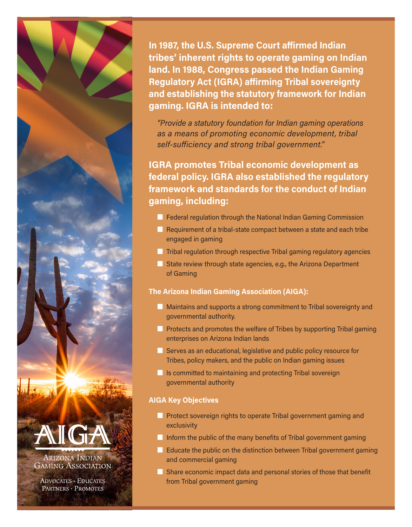

**ADVOCATES · EDUCATES** PARTNERS · PROMOTES

In 1987, the U.S. Supreme Court affirmed Indian tribes' inherent rights to operate gaming on Indian land. In 1988, Congress passed the Indian Gaming Regulatory Act (IGRA) affirming Tribal sovereignty and establishing the statutory framework for Indian gaming. IGRA is intended to:

"Provide a statutory foundation for Indian gaming operations as a means of promoting economic development, tribal self-sufficiency and strong tribal government."

IGRA promotes Tribal economic development as federal policy. IGRA also established the regulatory framework and standards for the conduct of Indian gaming, including:

- **n** Federal regulation through the National Indian Gaming Commission
- $\blacksquare$  Requirement of a tribal-state compact between a state and each tribe engaged in gaming
- $\blacksquare$  Tribal regulation through respective Tribal gaming regulatory agencies
- $\blacksquare$  State review through state agencies, e.g., the Arizona Department of Gaming

## The Arizona Indian Gaming Association (AIGA):

- **n** Maintains and supports a strong commitment to Tribal sovereignty and governmental authority.
- **n** Protects and promotes the welfare of Tribes by supporting Tribal gaming enterprises on Arizona Indian lands
- **n** Serves as an educational, legislative and public policy resource for Tribes, policy makers, and the public on Indian gaming issues
- $\blacksquare$  Is committed to maintaining and protecting Tribal sovereign governmental authority

## AIGA Key Objectives

- **n** Protect sovereign rights to operate Tribal government gaming and exclusivity
- $\blacksquare$  Inform the public of the many benefits of Tribal government gaming
- $\blacksquare$  Educate the public on the distinction between Tribal government gaming and commercial gaming
- $\blacksquare$  Share economic impact data and personal stories of those that benefit from Tribal government gaming